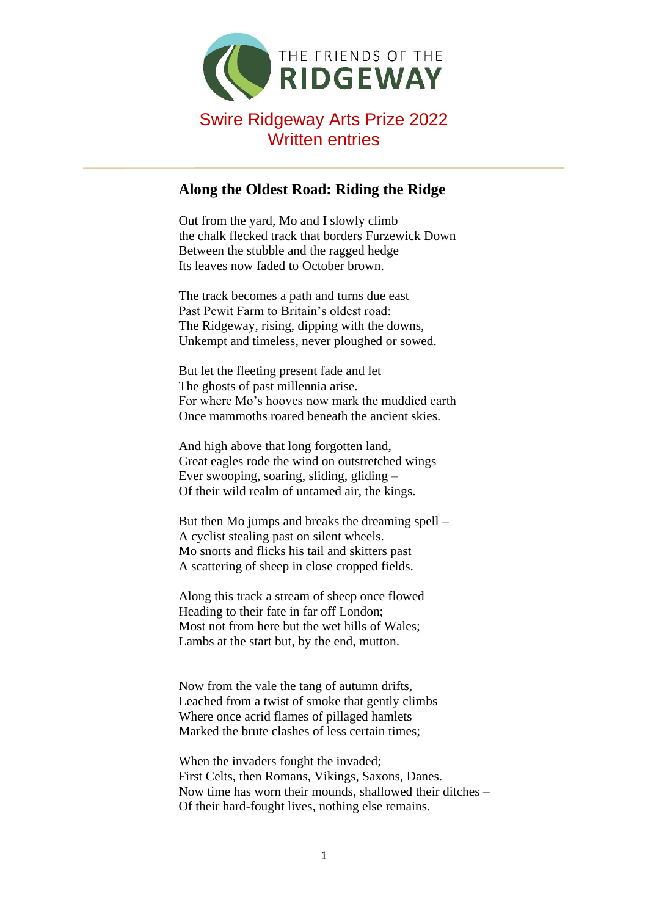

## **Along the Oldest Road: Riding the Ridge**

Out from the yard, Mo and I slowly climb the chalk flecked track that borders Furzewick Down Between the stubble and the ragged hedge Its leaves now faded to October brown.

The track becomes a path and turns due east Past Pewit Farm to Britain's oldest road: The Ridgeway, rising, dipping with the downs, Unkempt and timeless, never ploughed or sowed.

But let the fleeting present fade and let The ghosts of past millennia arise. For where Mo's hooves now mark the muddied earth Once mammoths roared beneath the ancient skies.

And high above that long forgotten land, Great eagles rode the wind on outstretched wings Ever swooping, soaring, sliding, gliding – Of their wild realm of untamed air, the kings.

But then Mo jumps and breaks the dreaming spell – A cyclist stealing past on silent wheels. Mo snorts and flicks his tail and skitters past A scattering of sheep in close cropped fields.

Along this track a stream of sheep once flowed Heading to their fate in far off London; Most not from here but the wet hills of Wales; Lambs at the start but, by the end, mutton.

Now from the vale the tang of autumn drifts, Leached from a twist of smoke that gently climbs Where once acrid flames of pillaged hamlets Marked the brute clashes of less certain times;

When the invaders fought the invaded; First Celts, then Romans, Vikings, Saxons, Danes. Now time has worn their mounds, shallowed their ditches – Of their hard-fought lives, nothing else remains.